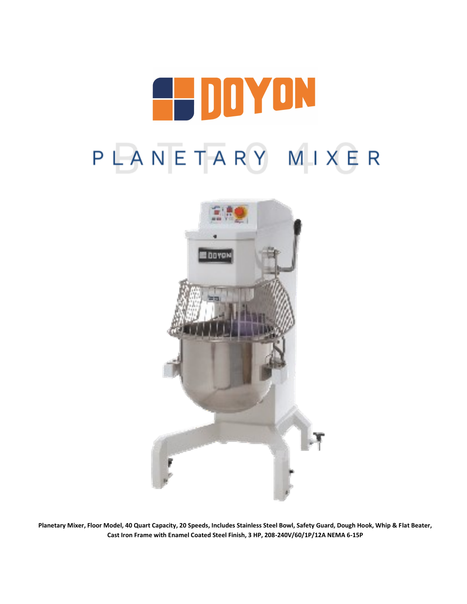# 4 DDYON PLANETARY MIXER



**Planetary Mixer, Floor Model, 40 Quart Capacity, 20 Speeds, Includes Stainless Steel Bowl, Safety Guard, Dough Hook, Whip & Flat Beater, Cast Iron Frame with Enamel Coated Steel Finish, 3 HP, 208-240V/60/1P/12A NEMA 6-15P**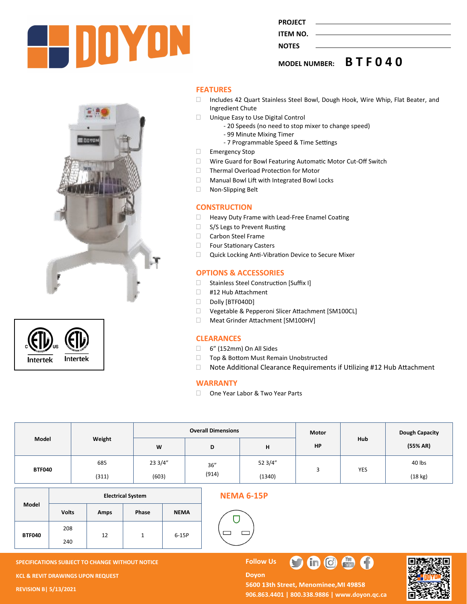





**FEATURES**

□ Includes 42 Quart Stainless Steel Bowl, Dough Hook, Wire Whip, Flat Beater, and Ingredient Chute

**MODEL NUMBER: B T F 0 4 0**

- Unique Easy to Use Digital Control
	- 20 Speeds (no need to stop mixer to change speed)

**PROJECT ITEM NO. NOTES** 

- 99 Minute Mixing Timer
- 7 Programmable Speed & Time Settings
- Emergency Stop
- □ Wire Guard for Bowl Featuring Automatic Motor Cut-Off Switch
- □ Thermal Overload Protection for Motor
- □ Manual Bowl Lift with Integrated Bowl Locks
- Non-Slipping Belt

#### **CONSTRUCTION**

- □ Heavy Duty Frame with Lead-Free Enamel Coating
- □ S/S Legs to Prevent Rusting
- □ Carbon Steel Frame
- □ Four Stationary Casters
- Quick Locking Anti-Vibration Device to Secure Mixer

#### **OPTIONS & ACCESSORIES**

- □ Stainless Steel Construction [Suffix I]
- #12 Hub Attachment
- Dolly [BTF040D]
- Vegetable & Pepperoni Slicer Attachment [SM100CL]
- Meat Grinder Attachment [SM100HV]

#### **CLEARANCES**

- $\Box$  6" (152mm) On All Sides
- □ Top & Bottom Must Remain Unobstructed
- □ Note Additional Clearance Requirements if Utilizing #12 Hub Attachment

#### **WARRANTY**

□ One Year Labor & Two Year Parts

| Model         | Weight | <b>Overall Dimensions</b> |               |         | <b>Motor</b> |     | Dough Capacity |
|---------------|--------|---------------------------|---------------|---------|--------------|-----|----------------|
|               |        | W                         | D             | н       | HP           | Hub | (55% AR)       |
| <b>BTF040</b> | 685    | 23 3/4"                   | 36''<br>(914) | 52 3/4" |              | YES | 40 lbs         |
|               | (311)  | (603)                     |               | (1340)  |              |     | (18 kg)        |

|               | <b>Electrical System</b> |             |       |             |  |  |  |
|---------------|--------------------------|-------------|-------|-------------|--|--|--|
| Model         | <b>Volts</b>             | <b>Amps</b> | Phase | <b>NEMA</b> |  |  |  |
| <b>BTF040</b> | 208<br>240               | 12          |       | 6-15P       |  |  |  |

#### **NEMA 6-15P**



**SPECIFICATIONS SUBJECT TO CHANGE WITHOUT NOTICE FOLLOW US KCL & REVIT DRAWINGS UPON REQUEST REVISION B| 5/13/2021**

**Doyon** 5600 13th Street, Menominee, MI 49858 **906.863.4401 | 800.338.9886 | [www.doyon.qc.ca](http://www.doyon.qc.ca/)**

 $\bullet$   $\bullet$ 

 $\begin{pmatrix} 1 \\ 1 \\ 1 \end{pmatrix}$